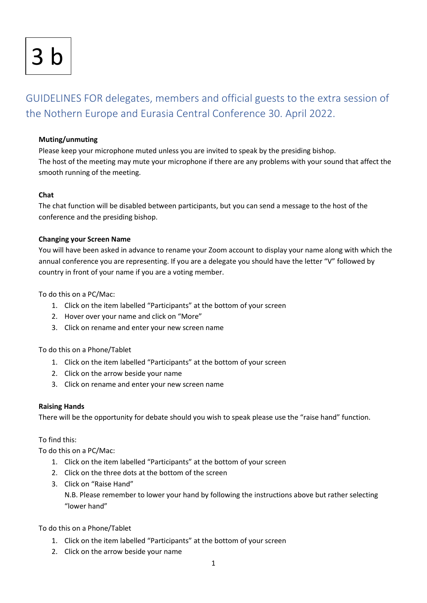# <u>In</u>

# GUIDELINES FOR delegates, members and official guests to the extra session of the Nothern Europe and Eurasia Central Conference 30. April 2022.

# **Muting/unmuting**

Please keep your microphone muted unless you are invited to speak by the presiding bishop. The host of the meeting may mute your microphone if there are any problems with your sound that affect the smooth running of the meeting.

#### **Chat**

The chat function will be disabled between participants, but you can send a message to the host of the conference and the presiding bishop.

#### **Changing your Screen Name**

You will have been asked in advance to rename your Zoom account to display your name along with which the annual conference you are representing. If you are a delegate you should have the letter "V" followed by country in front of your name if you are a voting member.

To do this on a PC/Mac:

- 1. Click on the item labelled "Participants" at the bottom of your screen
- 2. Hover over your name and click on "More"
- 3. Click on rename and enter your new screen name

To do this on a Phone/Tablet

- 1. Click on the item labelled "Participants" at the bottom of your screen
- 2. Click on the arrow beside your name
- 3. Click on rename and enter your new screen name

# **Raising Hands**

There will be the opportunity for debate should you wish to speak please use the "raise hand" function.

# To find this:

To do this on a PC/Mac:

- 1. Click on the item labelled "Participants" at the bottom of your screen
- 2. Click on the three dots at the bottom of the screen
- 3. Click on "Raise Hand"

N.B. Please remember to lower your hand by following the instructions above but rather selecting "lower hand"

To do this on a Phone/Tablet

- 1. Click on the item labelled "Participants" at the bottom of your screen
- 2. Click on the arrow beside your name